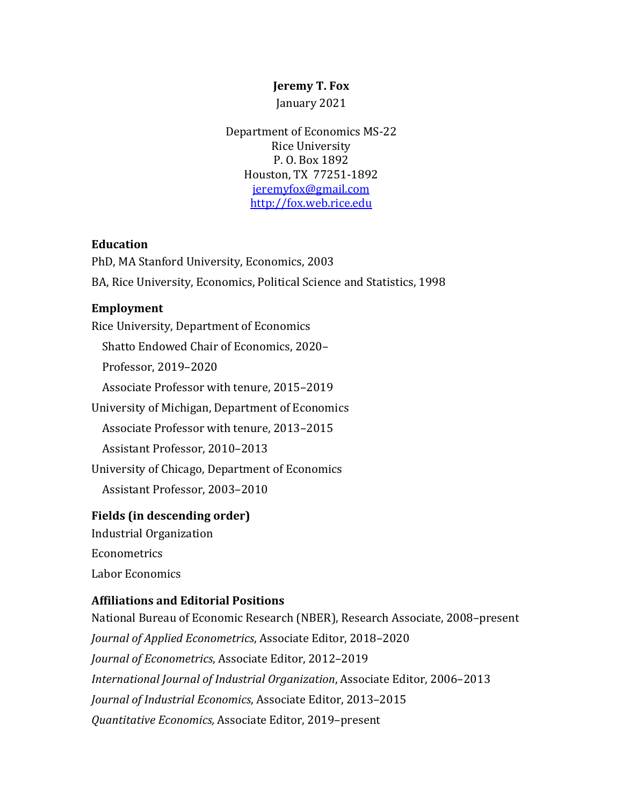### **Jeremy T. Fox**

January 2021

Department of Economics MS-22 Rice University P. O. Box 1892 Houston, TX 77251-1892 jeremyfox@gmail.com http://fox.web.rice.edu

### **Education**

PhD, MA Stanford University, Economics, 2003 BA, Rice University, Economics, Political Science and Statistics, 1998

### **Employment**

Rice University, Department of Economics

Shatto Endowed Chair of Economics, 2020-

 Professor, 2019–2020

Associate Professor with tenure, 2015-2019

University of Michigan, Department of Economics

Associate Professor with tenure, 2013-2015

Assistant Professor, 2010-2013

University of Chicago, Department of Economics

Assistant Professor, 2003-2010

### **Fields** (in descending order)

Industrial Organization Econometrics

Labor Economics

### **Affiliations and Editorial Positions**

National Bureau of Economic Research (NBER), Research Associate, 2008-present *Journal of Applied Econometrics, Associate Editor, 2018-2020 Journal of Econometrics*, Associate Editor, 2012-2019 *International Journal of Industrial Organization, Associate Editor, 2006–2013 Journal of Industrial Economics, Associate Editor, 2013-2015 Quantitative Economics,* Associate Editor, 2019–present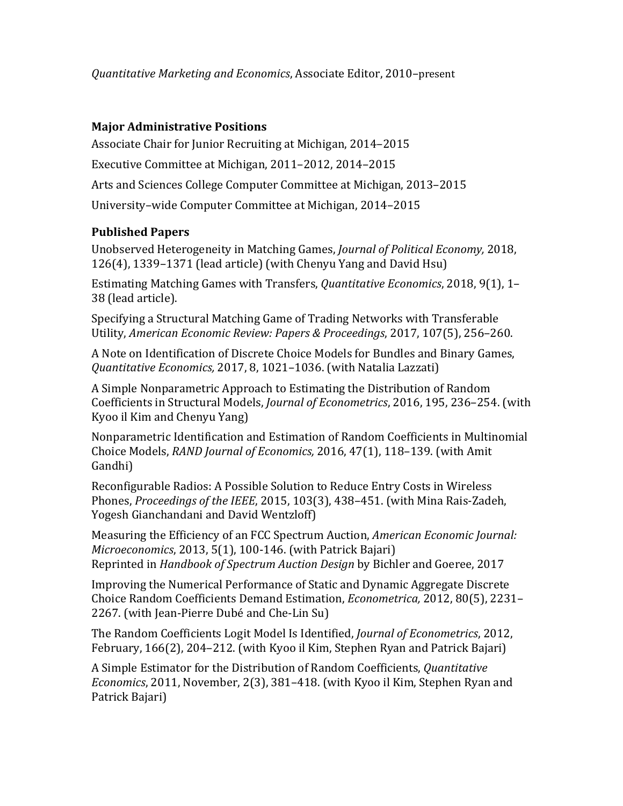*Quantitative Marketing and Economics*, Associate Editor, 2010–present

### **Major Administrative Positions**

Associate Chair for Junior Recruiting at Michigan, 2014–2015

Executive Committee at Michigan, 2011–2012, 2014–2015

Arts and Sciences College Computer Committee at Michigan, 2013–2015

University-wide Computer Committee at Michigan, 2014–2015

## **Published Papers**

Unobserved Heterogeneity in Matching Games, *Journal of Political Economy*, 2018,  $126(4)$ , 1339–1371 (lead article) (with Chenyu Yang and David Hsu)

Estimating Matching Games with Transfers, *Quantitative Economics*, 2018, 9(1), 1– 38 (lead article).

Specifying a Structural Matching Game of Trading Networks with Transferable Utility, *American Economic Review: Papers & Proceedings*, 2017, 107(5), 256-260.

A Note on Identification of Discrete Choice Models for Bundles and Binary Games, *Quantitative Economics,* 2017, 8, 1021–1036. (with Natalia Lazzati)

A Simple Nonparametric Approach to Estimating the Distribution of Random Coefficients in Structural Models, *Journal of Econometrics*, 2016, 195, 236-254. (with Kyoo il Kim and Chenyu Yang)

Nonparametric Identification and Estimation of Random Coefficients in Multinomial Choice Models, *RAND Journal of Economics*, 2016, 47(1), 118-139. (with Amit Gandhi)

Reconfigurable Radios: A Possible Solution to Reduce Entry Costs in Wireless Phones, *Proceedings of the IEEE*, 2015, 103(3), 438-451. (with Mina Rais-Zadeh, Yogesh Gianchandani and David Wentzloff)

Measuring the Efficiency of an FCC Spectrum Auction, *American Economic Journal: Microeconomics*, 2013, 5(1), 100-146. (with Patrick Bajari) Reprinted in *Handbook of Spectrum Auction Design* by Bichler and Goeree, 2017

Improving the Numerical Performance of Static and Dynamic Aggregate Discrete Choice Random Coefficients Demand Estimation, *Econometrica,* 2012, 80(5), 2231– 2267. (with Jean-Pierre Dubé and Che-Lin Su)

The Random Coefficients Logit Model Is Identified, *Journal of Econometrics*, 2012, February, 166(2), 204-212. (with Kyoo il Kim, Stephen Ryan and Patrick Bajari)

A Simple Estimator for the Distribution of Random Coefficients, *Quantitative Economics*, 2011, November, 2(3), 381-418. (with Kyoo il Kim, Stephen Ryan and Patrick Bajari)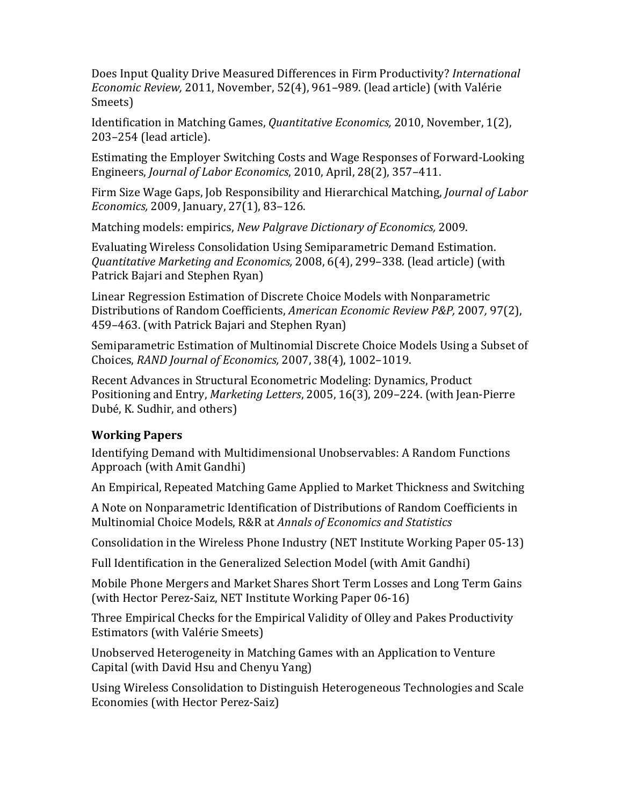Does Input Quality Drive Measured Differences in Firm Productivity? *International Economic Review,* 2011, November, 52(4), 961–989. (lead article) (with Valérie Smeets)

Identification in Matching Games, *Quantitative Economics*, 2010, November, 1(2), 203-254 (lead article).

Estimating the Employer Switching Costs and Wage Responses of Forward-Looking Engineers, *Journal of Labor Economics*, 2010, April, 28(2), 357-411.

Firm Size Wage Gaps, Job Responsibility and Hierarchical Matching, *Journal of Labor Economics,* 2009, January, 27(1), 83-126.

Matching models: empirics, *New Palgrave Dictionary of Economics*, 2009.

Evaluating Wireless Consolidation Using Semiparametric Demand Estimation. *Quantitative Marketing and Economics,* 2008, 6(4), 299–338. (lead article) (with Patrick Bajari and Stephen Ryan)

Linear Regression Estimation of Discrete Choice Models with Nonparametric Distributions of Random Coefficients, *American Economic Review P&P,* 2007*,* 97(2), 459–463. (with Patrick Bajari and Stephen Ryan)

Semiparametric Estimation of Multinomial Discrete Choice Models Using a Subset of Choices, *RAND Journal of Economics,* 2007, 38(4), 1002–1019. 

Recent Advances in Structural Econometric Modeling: Dynamics, Product Positioning and Entry, *Marketing Letters*, 2005, 16(3), 209-224. (with Jean-Pierre Dubé, K. Sudhir, and others)

# **Working Papers**

Identifying Demand with Multidimensional Unobservables: A Random Functions Approach (with Amit Gandhi)

An Empirical, Repeated Matching Game Applied to Market Thickness and Switching

A Note on Nonparametric Identification of Distributions of Random Coefficients in Multinomial Choice Models, R&R at *Annals of Economics and Statistics* 

Consolidation in the Wireless Phone Industry (NET Institute Working Paper 05-13)

Full Identification in the Generalized Selection Model (with Amit Gandhi)

Mobile Phone Mergers and Market Shares Short Term Losses and Long Term Gains (with Hector Perez-Saiz, NET Institute Working Paper 06-16)

Three Empirical Checks for the Empirical Validity of Olley and Pakes Productivity Estimators (with Valérie Smeets)

Unobserved Heterogeneity in Matching Games with an Application to Venture Capital (with David Hsu and Chenyu Yang)

Using Wireless Consolidation to Distinguish Heterogeneous Technologies and Scale Economies (with Hector Perez-Saiz)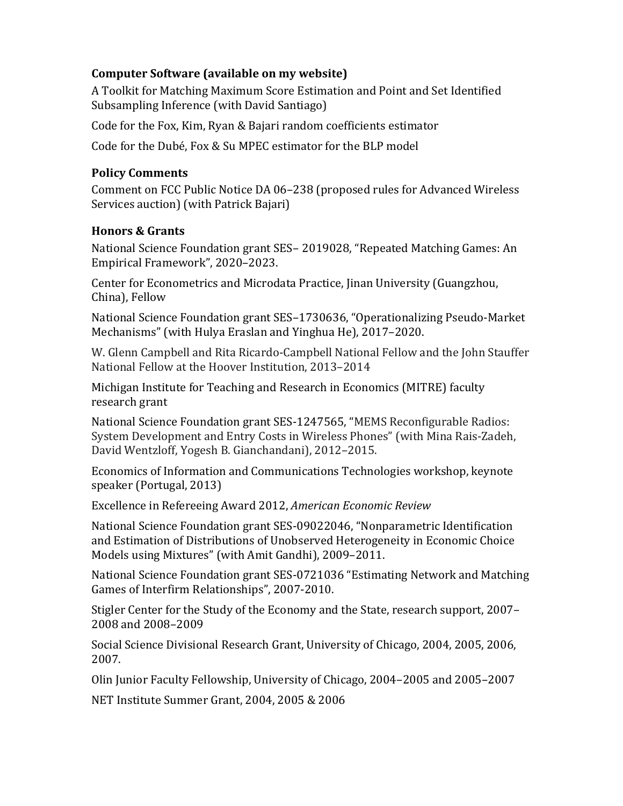## **Computer Software (available on my website)**

A Toolkit for Matching Maximum Score Estimation and Point and Set Identified Subsampling Inference (with David Santiago)

Code for the Fox, Kim, Ryan & Bajari random coefficients estimator

Code for the Dubé, Fox & Su MPEC estimator for the BLP model

## **Policy Comments**

Comment on FCC Public Notice DA 06-238 (proposed rules for Advanced Wireless Services auction) (with Patrick Bajari)

## **Honors & Grants**

National Science Foundation grant SES- 2019028, "Repeated Matching Games: An Empirical Framework", 2020-2023.

Center for Econometrics and Microdata Practice, Jinan University (Guangzhou, China), Fellow

National Science Foundation grant SES-1730636, "Operationalizing Pseudo-Market Mechanisms" (with Hulya Eraslan and Yinghua He), 2017–2020.

W. Glenn Campbell and Rita Ricardo-Campbell National Fellow and the John Stauffer National Fellow at the Hoover Institution, 2013–2014

Michigan Institute for Teaching and Research in Economics (MITRE) faculty research grant

National Science Foundation grant SES-1247565, "MEMS Reconfigurable Radios: System Development and Entry Costs in Wireless Phones" (with Mina Rais-Zadeh, David Wentzloff, Yogesh B. Gianchandani), 2012-2015.

Economics of Information and Communications Technologies workshop, keynote speaker (Portugal, 2013)

Excellence in Refereeing Award 2012, *American Economic Review* 

National Science Foundation grant SES-09022046, "Nonparametric Identification and Estimation of Distributions of Unobserved Heterogeneity in Economic Choice Models using Mixtures" (with Amit Gandhi), 2009-2011.

National Science Foundation grant SES-0721036 "Estimating Network and Matching Games of Interfirm Relationships", 2007-2010.

Stigler Center for the Study of the Economy and the State, research support, 2007– 2008 and 2008–2009

Social Science Divisional Research Grant, University of Chicago, 2004, 2005, 2006, 2007.

Olin Junior Faculty Fellowship, University of Chicago, 2004–2005 and 2005–2007

NET Institute Summer Grant, 2004, 2005 & 2006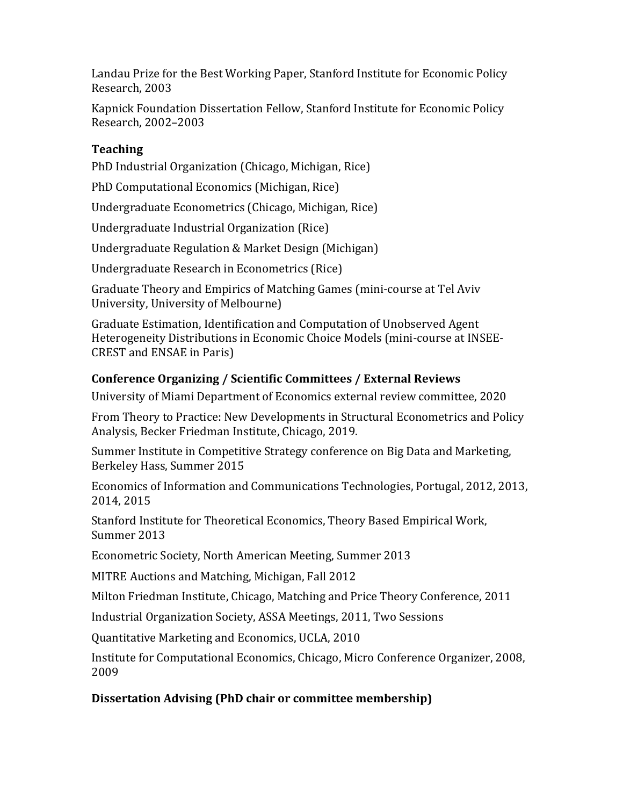Landau Prize for the Best Working Paper, Stanford Institute for Economic Policy Research, 2003

Kapnick Foundation Dissertation Fellow, Stanford Institute for Economic Policy Research, 2002–2003

# **Teaching**

PhD Industrial Organization (Chicago, Michigan, Rice)

PhD Computational Economics (Michigan, Rice)

Undergraduate Econometrics (Chicago, Michigan, Rice)

Undergraduate Industrial Organization (Rice)

Undergraduate Regulation & Market Design (Michigan)

Undergraduate Research in Econometrics (Rice)

Graduate Theory and Empirics of Matching Games (mini-course at Tel Aviv University, University of Melbourne)

Graduate Estimation, Identification and Computation of Unobserved Agent Heterogeneity Distributions in Economic Choice Models (mini-course at INSEE-CREST and ENSAE in Paris)

# **Conference Organizing / Scientific Committees / External Reviews**

University of Miami Department of Economics external review committee, 2020

From Theory to Practice: New Developments in Structural Econometrics and Policy Analysis, Becker Friedman Institute, Chicago, 2019.

Summer Institute in Competitive Strategy conference on Big Data and Marketing, Berkeley Hass, Summer 2015

Economics of Information and Communications Technologies, Portugal, 2012, 2013, 2014, 2015

Stanford Institute for Theoretical Economics, Theory Based Empirical Work, Summer 2013

Econometric Society, North American Meeting, Summer 2013

MITRE Auctions and Matching, Michigan, Fall 2012

Milton Friedman Institute, Chicago, Matching and Price Theory Conference, 2011

Industrial Organization Society, ASSA Meetings, 2011, Two Sessions

Quantitative Marketing and Economics, UCLA, 2010

Institute for Computational Economics, Chicago, Micro Conference Organizer, 2008, 2009

# **Dissertation Advising (PhD chair or committee membership)**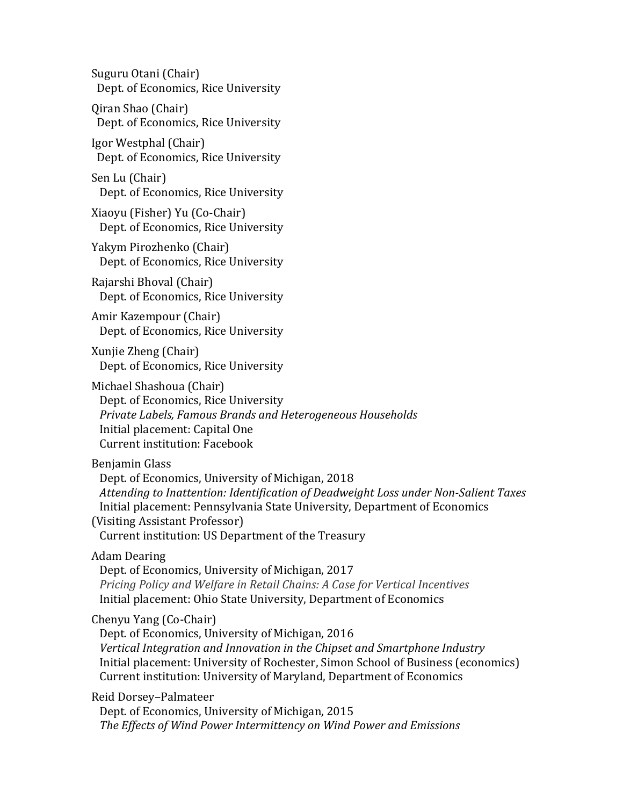Suguru Otani (Chair) Dept. of Economics, Rice University

Qiran Shao (Chair) Dept. of Economics, Rice University

Igor Westphal (Chair) Dept. of Economics, Rice University

Sen Lu (Chair) Dept. of Economics, Rice University

Xiaoyu (Fisher) Yu (Co-Chair) Dept. of Economics, Rice University

Yakym Pirozhenko (Chair) Dept. of Economics, Rice University

Rajarshi Bhoval (Chair) Dept. of Economics, Rice University

Amir Kazempour (Chair) Dept. of Economics, Rice University

Xunjie Zheng (Chair) Dept. of Economics, Rice University

Michael Shashoua (Chair) Dept. of Economics, Rice University *Private Labels, Famous Brands and Heterogeneous Households* Initial placement: Capital One Current institution: Facebook

Benjamin Glass

Dept. of Economics, University of Michigan, 2018 Attending to Inattention: Identification of Deadweight Loss under Non-Salient Taxes Initial placement: Pennsylvania State University, Department of Economics (Visiting Assistant Professor) Current institution: US Department of the Treasury

Adam Dearing

Dept. of Economics, University of Michigan, 2017 *Pricing Policy and Welfare in Retail Chains: A Case for Vertical Incentives* Initial placement: Ohio State University, Department of Economics

Chenyu Yang (Co-Chair)

Dept. of Economics, University of Michigan, 2016 *Vertical Integration and Innovation in the Chipset and Smartphone Industry* Initial placement: University of Rochester, Simon School of Business (economics) Current institution: University of Maryland, Department of Economics

Reid Dorsey–Palmateer

Dept. of Economics, University of Michigan, 2015 The *Effects of Wind Power Intermittency on Wind Power and Emissions*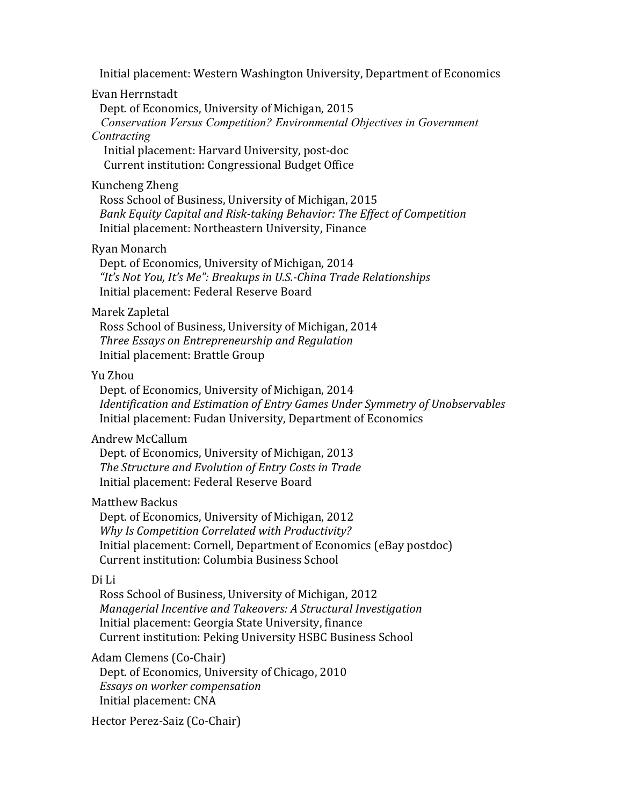Initial placement: Western Washington University, Department of Economics

#### Evan Herrnstadt

Dept. of Economics, University of Michigan, 2015  *Conservation Versus Competition? Environmental Objectives in Government* 

# *Contracting*

Initial placement: Harvard University, post-doc Current institution: Congressional Budget Office

#### Kuncheng Zheng

Ross School of Business, University of Michigan, 2015 *Bank Equity Capital and Risk-taking Behavior: The Effect of Competition* Initial placement: Northeastern University, Finance

### Ryan Monarch

Dept. of Economics, University of Michigan, 2014 "It's Not You, It's Me": Breakups in U.S.-China Trade Relationships Initial placement: Federal Reserve Board

#### Marek Zapletal

Ross School of Business, University of Michigan, 2014  *Three Essays on Entrepreneurship and Regulation* Initial placement: Brattle Group

### Yu Zhou

Dept. of Economics, University of Michigan, 2014 *Identification and Estimation of Entry Games Under Symmetry of Unobservables* Initial placement: Fudan University, Department of Economics

#### Andrew McCallum

Dept. of Economics, University of Michigan, 2013 The Structure and Evolution of Entry Costs in Trade Initial placement: Federal Reserve Board

#### Matthew Backus

Dept. of Economics, University of Michigan, 2012 *Why Is Competition Correlated with Productivity?* Initial placement: Cornell, Department of Economics (eBay postdoc) Current institution: Columbia Business School

#### Di Li

Ross School of Business, University of Michigan, 2012 *Managerial Incentive and Takeovers: A Structural Investigation* Initial placement: Georgia State University, finance Current institution: Peking University HSBC Business School

Adam Clemens (Co-Chair)

Dept. of Economics, University of Chicago, 2010 *Essays on worker compensation* Initial placement: CNA

Hector Perez-Saiz (Co-Chair)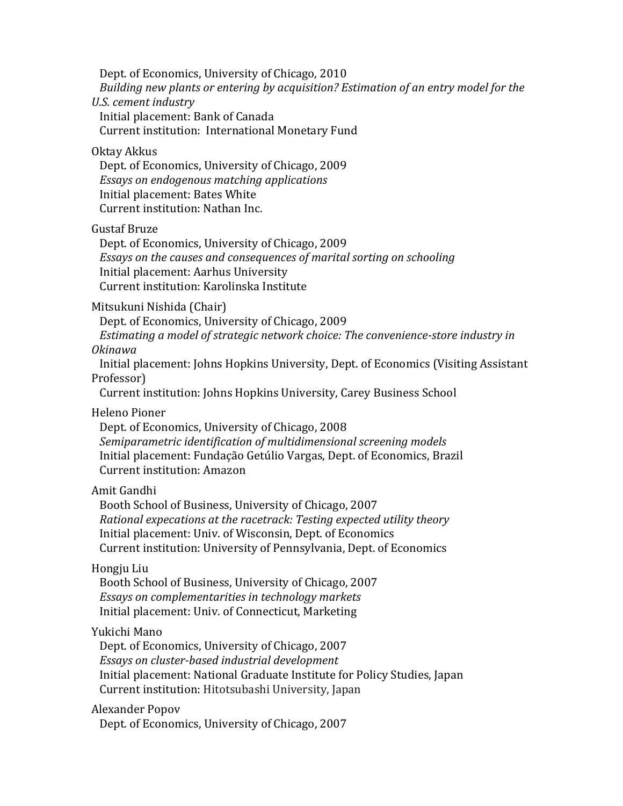Dept. of Economics, University of Chicago, 2010 *Building new plants or entering by acquisition? Estimation of an entry model for the U.S. cement industry* Initial placement: Bank of Canada Current institution: International Monetary Fund Oktay Akkus

Dept. of Economics, University of Chicago, 2009 *Essays* on endogenous matching applications Initial placement: Bates White Current institution: Nathan Inc.

Gustaf Bruze

Dept. of Economics, University of Chicago, 2009 *Essays* on the causes and consequences of marital sorting on schooling Initial placement: Aarhus University Current institution: Karolinska Institute

Mitsukuni Nishida (Chair)

Dept. of Economics, University of Chicago, 2009

*Estimating a model of strategic network choice: The convenience-store industry in Okinawa*

Initial placement: Johns Hopkins University, Dept. of Economics (Visiting Assistant Professor)

Current institution: Johns Hopkins University, Carey Business School

Heleno Pioner 

Dept. of Economics, University of Chicago, 2008 Semiparametric identification of multidimensional screening models Initial placement: Fundação Getúlio Vargas, Dept. of Economics, Brazil Current institution: Amazon

#### Amit Gandhi

Booth School of Business, University of Chicago, 2007 *Rational expecations at the racetrack: Testing expected utility theory* Initial placement: Univ. of Wisconsin, Dept. of Economics Current institution: University of Pennsylvania, Dept. of Economics

### Hongju Liu

Booth School of Business, University of Chicago, 2007 Essays on complementarities in technology markets Initial placement: Univ. of Connecticut, Marketing

### Yukichi Mano

Dept. of Economics, University of Chicago, 2007 *Essays on cluster-based industrial development* Initial placement: National Graduate Institute for Policy Studies, Japan Current institution: Hitotsubashi University, Japan

#### Alexander Popov

Dept. of Economics, University of Chicago, 2007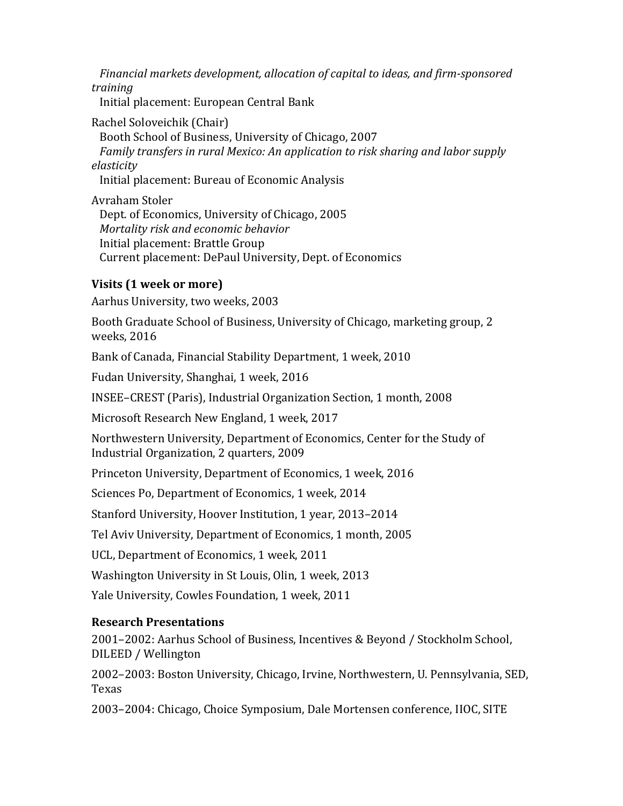Financial markets development, allocation of capital to ideas, and firm-sponsored *training*

Initial placement: European Central Bank

Rachel Soloveichik (Chair) Booth School of Business, University of Chicago, 2007 *Family transfers in rural Mexico: An application to risk sharing and labor supply elasticity* Initial placement: Bureau of Economic Analysis

Avraham Stoler Dept. of Economics, University of Chicago, 2005 *Mortality risk and economic behavior* Initial placement: Brattle Group Current placement: DePaul University, Dept. of Economics

# **Visits (1 week or more)**

Aarhus University, two weeks, 2003

Booth Graduate School of Business, University of Chicago, marketing group, 2 weeks, 2016

Bank of Canada, Financial Stability Department, 1 week, 2010

Fudan University, Shanghai, 1 week, 2016

INSEE-CREST (Paris), Industrial Organization Section, 1 month, 2008

Microsoft Research New England, 1 week, 2017

Northwestern University, Department of Economics, Center for the Study of Industrial Organization, 2 quarters, 2009

Princeton University, Department of Economics, 1 week, 2016

Sciences Po, Department of Economics, 1 week, 2014

Stanford University, Hoover Institution, 1 year, 2013-2014

Tel Aviv University, Department of Economics, 1 month, 2005

UCL, Department of Economics, 1 week, 2011

Washington University in St Louis, Olin, 1 week, 2013

Yale University, Cowles Foundation, 1 week, 2011

# **Research Presentations**

2001-2002: Aarhus School of Business, Incentives & Beyond / Stockholm School, DILEED / Wellington

2002–2003: Boston University, Chicago, Irvine, Northwestern, U. Pennsylvania, SED, Texas 

2003–2004: Chicago, Choice Symposium, Dale Mortensen conference, IIOC, SITE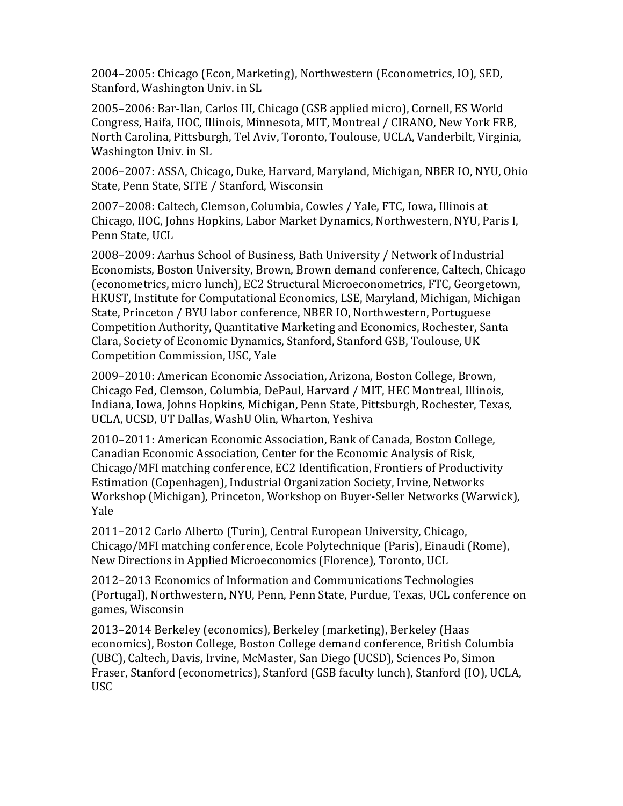2004–2005: Chicago (Econ, Marketing), Northwestern (Econometrics, IO), SED, Stanford, Washington Univ. in SL

2005–2006: Bar-Ilan, Carlos III, Chicago (GSB applied micro), Cornell, ES World Congress, Haifa, IIOC, Illinois, Minnesota, MIT, Montreal / CIRANO, New York FRB, North Carolina, Pittsburgh, Tel Aviv, Toronto, Toulouse, UCLA, Vanderbilt, Virginia, Washington Univ. in SL

2006–2007: ASSA, Chicago, Duke, Harvard, Maryland, Michigan, NBER IO, NYU, Ohio State, Penn State, SITE / Stanford, Wisconsin

2007-2008: Caltech, Clemson, Columbia, Cowles / Yale, FTC, Iowa, Illinois at Chicago, IIOC, Johns Hopkins, Labor Market Dynamics, Northwestern, NYU, Paris I, Penn State, UCL

2008–2009: Aarhus School of Business, Bath University / Network of Industrial Economists, Boston University, Brown, Brown demand conference, Caltech, Chicago (econometrics, micro lunch), EC2 Structural Microeconometrics, FTC, Georgetown, HKUST, Institute for Computational Economics, LSE, Maryland, Michigan, Michigan State, Princeton / BYU labor conference, NBER IO, Northwestern, Portuguese Competition Authority, Quantitative Marketing and Economics, Rochester, Santa Clara, Society of Economic Dynamics, Stanford, Stanford GSB, Toulouse, UK Competition Commission, USC, Yale

2009–2010: American Economic Association, Arizona, Boston College, Brown, Chicago Fed, Clemson, Columbia, DePaul, Harvard / MIT, HEC Montreal, Illinois, Indiana, Iowa, Johns Hopkins, Michigan, Penn State, Pittsburgh, Rochester, Texas, UCLA, UCSD, UT Dallas, WashU Olin, Wharton, Yeshiva

2010–2011: American Economic Association, Bank of Canada, Boston College, Canadian Economic Association, Center for the Economic Analysis of Risk, Chicago/MFI matching conference, EC2 Identification, Frontiers of Productivity Estimation (Copenhagen), Industrial Organization Society, Irvine, Networks Workshop (Michigan), Princeton, Workshop on Buyer-Seller Networks (Warwick), Yale

2011–2012 Carlo Alberto (Turin), Central European University, Chicago, Chicago/MFI matching conference, Ecole Polytechnique (Paris), Einaudi (Rome), New Directions in Applied Microeconomics (Florence), Toronto, UCL

2012–2013 Economics of Information and Communications Technologies (Portugal), Northwestern, NYU, Penn, Penn State, Purdue, Texas, UCL conference on games, Wisconsin

2013–2014 Berkeley (economics), Berkeley (marketing), Berkeley (Haas economics), Boston College, Boston College demand conference, British Columbia (UBC), Caltech, Davis, Irvine, McMaster, San Diego (UCSD), Sciences Po, Simon Fraser, Stanford (econometrics), Stanford (GSB faculty lunch), Stanford (IO), UCLA, USC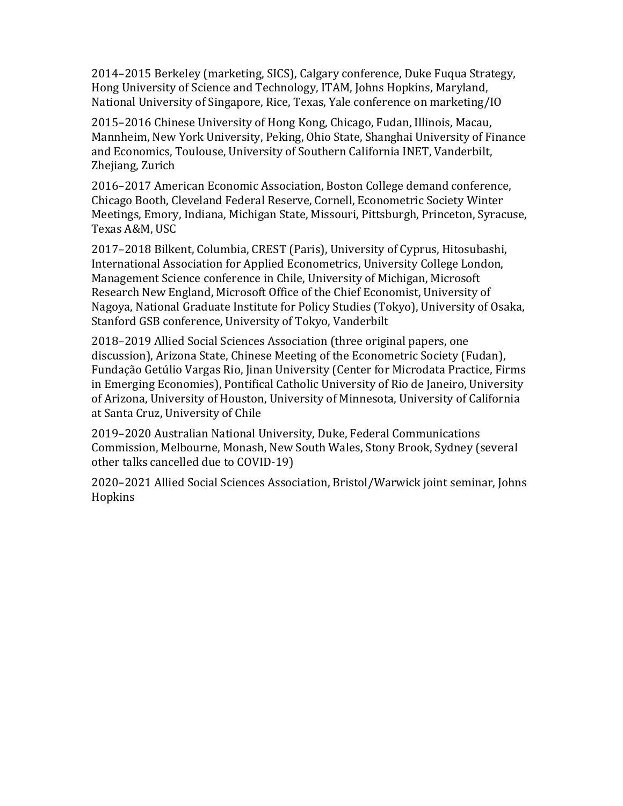2014–2015 Berkeley (marketing, SICS), Calgary conference, Duke Fuqua Strategy, Hong University of Science and Technology, ITAM, Johns Hopkins, Maryland, National University of Singapore, Rice, Texas, Yale conference on marketing/IO

2015–2016 Chinese University of Hong Kong, Chicago, Fudan, Illinois, Macau, Mannheim, New York University, Peking, Ohio State, Shanghai University of Finance and Economics, Toulouse, University of Southern California INET, Vanderbilt, Zhejiang, Zurich

2016–2017 American Economic Association, Boston College demand conference, Chicago Booth, Cleveland Federal Reserve, Cornell, Econometric Society Winter Meetings, Emory, Indiana, Michigan State, Missouri, Pittsburgh, Princeton, Syracuse, Texas A&M, USC

2017–2018 Bilkent, Columbia, CREST (Paris), University of Cyprus, Hitosubashi, International Association for Applied Econometrics, University College London, Management Science conference in Chile, University of Michigan, Microsoft Research New England, Microsoft Office of the Chief Economist, University of Nagoya, National Graduate Institute for Policy Studies (Tokyo), University of Osaka, Stanford GSB conference, University of Tokyo, Vanderbilt

2018–2019 Allied Social Sciences Association (three original papers, one discussion), Arizona State, Chinese Meeting of the Econometric Society (Fudan), Fundação Getúlio Vargas Rio, Jinan University (Center for Microdata Practice, Firms in Emerging Economies), Pontifical Catholic University of Rio de Janeiro, University of Arizona, University of Houston, University of Minnesota, University of California at Santa Cruz, University of Chile

2019–2020 Australian National University, Duke, Federal Communications Commission, Melbourne, Monash, New South Wales, Stony Brook, Sydney (several other talks cancelled due to COVID-19)

2020–2021 Allied Social Sciences Association, Bristol/Warwick joint seminar, Johns Hopkins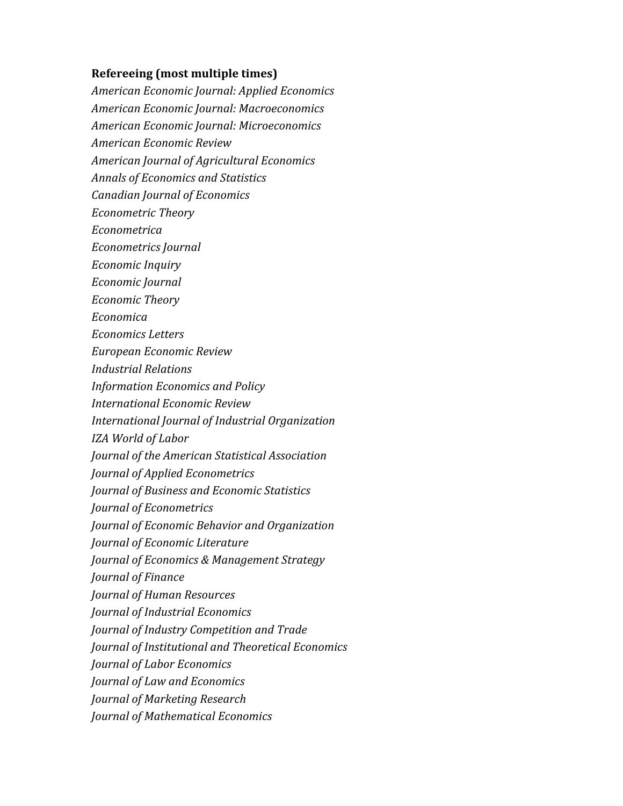### **Refereeing** (most multiple times)

*American Economic Journal: Applied Economics American Economic Journal: Macroeconomics American Economic Journal: Microeconomics American Economic Review American Journal of Agricultural Economics Annals of Economics and Statistics Canadian Journal of Economics Econometric Theory Econometrica Econometrics Journal Economic Inquiry Economic Journal Economic Theory Economica Economics Letters European Economic Review Industrial Relations Information Economics and Policy International Economic Review International Journal of Industrial Organization IZA World of Labor Journal of the American Statistical Association Journal of Applied Econometrics Journal of Business and Economic Statistics Journal of Econometrics Journal of Economic Behavior and Organization Journal of Economic Literature Journal of Economics & Management Strategy Journal of Finance Journal of Human Resources Journal of Industrial Economics Journal of Industry Competition and Trade Journal of Institutional and Theoretical Economics Journal of Labor Economics Journal of Law and Economics Journal of Marketing Research Journal of Mathematical Economics*